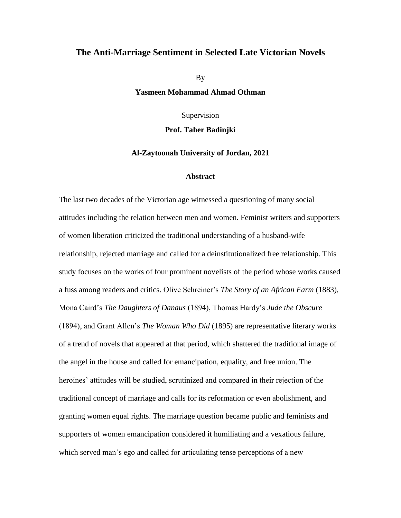## **The Anti-Marriage Sentiment in Selected Late Victorian Novels**

By

**Yasmeen Mohammad Ahmad Othman**

Supervision

**Prof. Taher Badinjki** 

## **Al-Zaytoonah University of Jordan, 2021**

## **Abstract**

The last two decades of the Victorian age witnessed a questioning of many social attitudes including the relation between men and women. Feminist writers and supporters of women liberation criticized the traditional understanding of a husband-wife relationship, rejected marriage and called for a deinstitutionalized free relationship. This study focuses on the works of four prominent novelists of the period whose works caused a fuss among readers and critics. Olive Schreiner's *The Story of an African Farm* (1883), Mona Caird's *The Daughters of Danaus* (1894), Thomas Hardy's *Jude the Obscure* (1894), and Grant Allen's *The Woman Who Did* (1895) are representative literary works of a trend of novels that appeared at that period, which shattered the traditional image of the angel in the house and called for emancipation, equality, and free union. The heroines' attitudes will be studied, scrutinized and compared in their rejection of the traditional concept of marriage and calls for its reformation or even abolishment, and granting women equal rights. The marriage question became public and feminists and supporters of women emancipation considered it humiliating and a vexatious failure, which served man's ego and called for articulating tense perceptions of a new